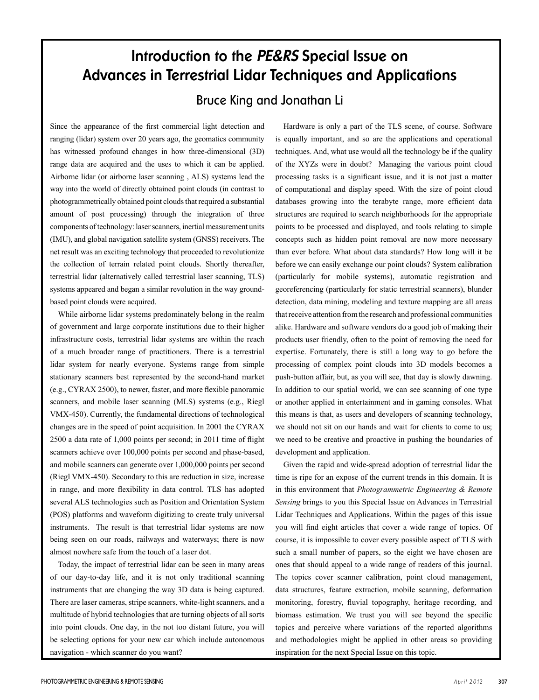# **Introduction to the** *PE&RS* **Special Issue on Advances in Terrestrial Lidar Techniques and Applications**

# Bruce King and Jonathan Li

Since the appearance of the first commercial light detection and ranging (lidar) system over 20 years ago, the geomatics community has witnessed profound changes in how three-dimensional (3D) range data are acquired and the uses to which it can be applied. Airborne lidar (or airborne laser scanning , ALS) systems lead the way into the world of directly obtained point clouds (in contrast to photogrammetrically obtained point clouds that required a substantial amount of post processing) through the integration of three components of technology: laser scanners, inertial measurement units (IMU), and global navigation satellite system (GNSS) receivers. The net result was an exciting technology that proceeded to revolutionize the collection of terrain related point clouds. Shortly thereafter, terrestrial lidar (alternatively called terrestrial laser scanning, TLS) systems appeared and began a similar revolution in the way groundbased point clouds were acquired.

While airborne lidar systems predominately belong in the realm of government and large corporate institutions due to their higher infrastructure costs, terrestrial lidar systems are within the reach of a much broader range of practitioners. There is a terrestrial lidar system for nearly everyone. Systems range from simple stationary scanners best represented by the second-hand market (e.g., CYRAX 2500), to newer, faster, and more flexible panoramic scanners, and mobile laser scanning (MLS) systems (e.g., Riegl VMX-450). Currently, the fundamental directions of technological changes are in the speed of point acquisition. In 2001 the CYRAX 2500 a data rate of 1,000 points per second; in 2011 time of flight scanners achieve over 100,000 points per second and phase-based, and mobile scanners can generate over 1,000,000 points per second (Riegl VMX-450). Secondary to this are reduction in size, increase in range, and more flexibility in data control. TLS has adopted several ALS technologies such as Position and Orientation System (POS) platforms and waveform digitizing to create truly universal instruments. The result is that terrestrial lidar systems are now being seen on our roads, railways and waterways; there is now almost nowhere safe from the touch of a laser dot.

Today, the impact of terrestrial lidar can be seen in many areas of our day-to-day life, and it is not only traditional scanning instruments that are changing the way 3D data is being captured. There are laser cameras, stripe scanners, white-light scanners, and a multitude of hybrid technologies that are turning objects of all sorts into point clouds. One day, in the not too distant future, you will be selecting options for your new car which include autonomous navigation - which scanner do you want?

Hardware is only a part of the TLS scene, of course. Software is equally important, and so are the applications and operational techniques. And, what use would all the technology be if the quality of the XYZs were in doubt? Managing the various point cloud processing tasks is a significant issue, and it is not just a matter of computational and display speed. With the size of point cloud databases growing into the terabyte range, more efficient data structures are required to search neighborhoods for the appropriate points to be processed and displayed, and tools relating to simple concepts such as hidden point removal are now more necessary than ever before. What about data standards? How long will it be before we can easily exchange our point clouds? System calibration (particularly for mobile systems), automatic registration and georeferencing (particularly for static terrestrial scanners), blunder detection, data mining, modeling and texture mapping are all areas that receive attention from the research and professional communities alike. Hardware and software vendors do a good job of making their products user friendly, often to the point of removing the need for expertise. Fortunately, there is still a long way to go before the processing of complex point clouds into 3D models becomes a push-button affair, but, as you will see, that day is slowly dawning. In addition to our spatial world, we can see scanning of one type or another applied in entertainment and in gaming consoles. What this means is that, as users and developers of scanning technology, we should not sit on our hands and wait for clients to come to us; we need to be creative and proactive in pushing the boundaries of development and application.

Given the rapid and wide-spread adoption of terrestrial lidar the time is ripe for an expose of the current trends in this domain. It is in this environment that *Photogrammetric Engineering & Remote Sensing* brings to you this Special Issue on Advances in Terrestrial Lidar Techniques and Applications. Within the pages of this issue you will find eight articles that cover a wide range of topics. Of course, it is impossible to cover every possible aspect of TLS with such a small number of papers, so the eight we have chosen are ones that should appeal to a wide range of readers of this journal. The topics cover scanner calibration, point cloud management, data structures, feature extraction, mobile scanning, deformation monitoring, forestry, fluvial topography, heritage recording, and biomass estimation. We trust you will see beyond the specific topics and perceive where variations of the reported algorithms and methodologies might be applied in other areas so providing inspiration for the next Special Issue on this topic.